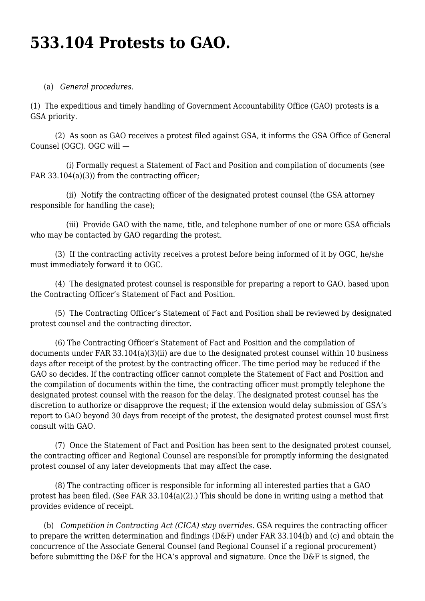## **533.104 Protests to GAO.**

## (a) *General procedures*.

(1) The expeditious and timely handling of Government Accountability Office (GAO) protests is a GSA priority.

 (2) As soon as GAO receives a protest filed against GSA, it informs the GSA Office of General Counsel (OGC). OGC will —

 (i) Formally request a Statement of Fact and Position and compilation of documents (see FAR 33.104(a)(3)) from the contracting officer;

 (ii) Notify the contracting officer of the designated protest counsel (the GSA attorney responsible for handling the case);

 (iii) Provide GAO with the name, title, and telephone number of one or more GSA officials who may be contacted by GAO regarding the protest.

 (3) If the contracting activity receives a protest before being informed of it by OGC, he/she must immediately forward it to OGC.

 (4) The designated protest counsel is responsible for preparing a report to GAO, based upon the Contracting Officer's Statement of Fact and Position.

 (5) The Contracting Officer's Statement of Fact and Position shall be reviewed by designated protest counsel and the contracting director.

 (6) The Contracting Officer's Statement of Fact and Position and the compilation of documents under FAR 33.104(a)(3)(ii) are due to the designated protest counsel within 10 business days after receipt of the protest by the contracting officer. The time period may be reduced if the GAO so decides. If the contracting officer cannot complete the Statement of Fact and Position and the compilation of documents within the time, the contracting officer must promptly telephone the designated protest counsel with the reason for the delay. The designated protest counsel has the discretion to authorize or disapprove the request; if the extension would delay submission of GSA's report to GAO beyond 30 days from receipt of the protest, the designated protest counsel must first consult with GAO.

 (7) Once the Statement of Fact and Position has been sent to the designated protest counsel, the contracting officer and Regional Counsel are responsible for promptly informing the designated protest counsel of any later developments that may affect the case.

 (8) The contracting officer is responsible for informing all interested parties that a GAO protest has been filed. (See FAR 33.104(a)(2).) This should be done in writing using a method that provides evidence of receipt.

 (b) *Competition in Contracting Act (CICA) stay overrides*. GSA requires the contracting officer to prepare the written determination and findings (D&F) under FAR 33.104(b) and (c) and obtain the concurrence of the Associate General Counsel (and Regional Counsel if a regional procurement) before submitting the D&F for the HCA's approval and signature. Once the D&F is signed, the